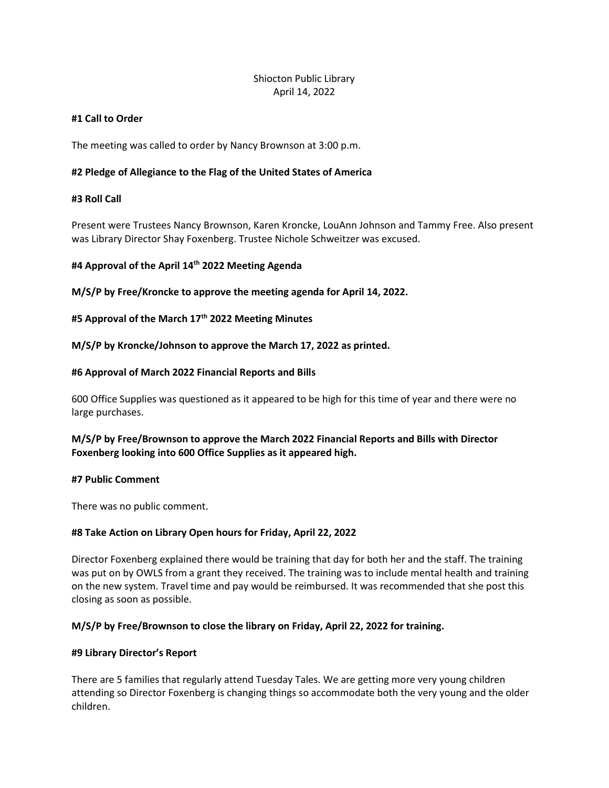# Shiocton Public Library April 14, 2022

## #1 Call to Order

The meeting was called to order by Nancy Brownson at 3:00 p.m.

## #2 Pledge of Allegiance to the Flag of the United States of America

## #3 Roll Call

Present were Trustees Nancy Brownson, Karen Kroncke, LouAnn Johnson and Tammy Free. Also present was Library Director Shay Foxenberg. Trustee Nichole Schweitzer was excused.

## #4 Approval of the April 14<sup>th</sup> 2022 Meeting Agenda

M/S/P by Free/Kroncke to approve the meeting agenda for April 14, 2022.

#5 Approval of the March 17<sup>th</sup> 2022 Meeting Minutes

M/S/P by Kroncke/Johnson to approve the March 17, 2022 as printed.

#### #6 Approval of March 2022 Financial Reports and Bills

600 Office Supplies was questioned as it appeared to be high for this time of year and there were no large purchases.

## M/S/P by Free/Brownson to approve the March 2022 Financial Reports and Bills with Director Foxenberg looking into 600 Office Supplies as it appeared high.

#### #7 Public Comment

There was no public comment.

#### #8 Take Action on Library Open hours for Friday, April 22, 2022

Director Foxenberg explained there would be training that day for both her and the staff. The training was put on by OWLS from a grant they received. The training was to include mental health and training on the new system. Travel time and pay would be reimbursed. It was recommended that she post this closing as soon as possible.

#### M/S/P by Free/Brownson to close the library on Friday, April 22, 2022 for training.

#### #9 Library Director's Report

There are 5 families that regularly attend Tuesday Tales. We are getting more very young children attending so Director Foxenberg is changing things so accommodate both the very young and the older children.